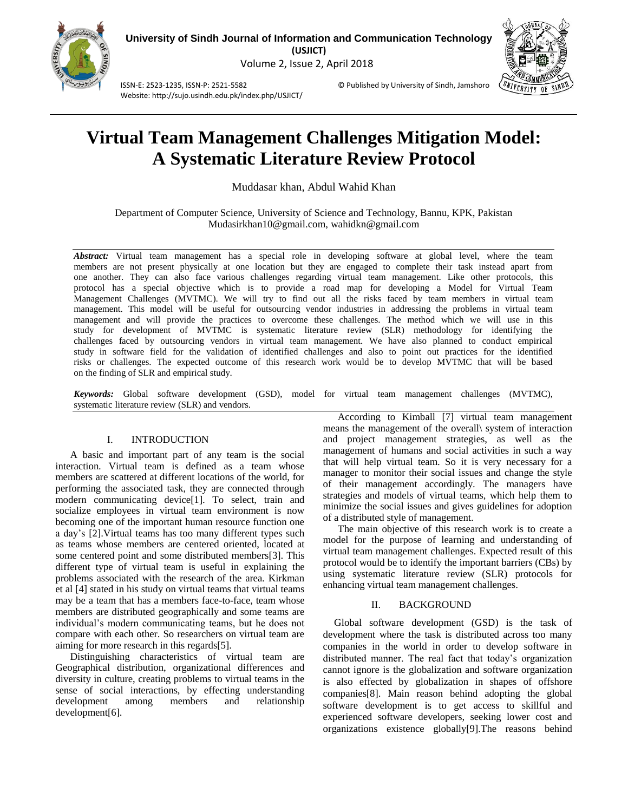

Website: http://sujo.usindh.edu.pk/index.php/USJICT/



ISSN-E: 2523-1235, ISSN-P: 2521-5582 © Published by University of Sindh, Jamshoro

# **Virtual Team Management Challenges Mitigation Model: A Systematic Literature Review Protocol**

Muddasar khan, Abdul Wahid Khan

Department of Computer Science, University of Science and Technology, Bannu, KPK, Pakistan Mudasirkhan10@gmail.com, [wahidkn@gmail.com](mailto:wahidkn@gmail.com)

*Abstract:* Virtual team management has a special role in developing software at global level, where the team members are not present physically at one location but they are engaged to complete their task instead apart from one another. They can also face various challenges regarding virtual team management. Like other protocols, this protocol has a special objective which is to provide a road map for developing a Model for Virtual Team Management Challenges (MVTMC). We will try to find out all the risks faced by team members in virtual team management. This model will be useful for outsourcing vendor industries in addressing the problems in virtual team management and will provide the practices to overcome these challenges. The method which we will use in this study for development of MVTMC is systematic literature review (SLR) methodology for identifying the challenges faced by outsourcing vendors in virtual team management. We have also planned to conduct empirical study in software field for the validation of identified challenges and also to point out practices for the identified risks or challenges. The expected outcome of this research work would be to develop MVTMC that will be based on the finding of SLR and empirical study.

*Keywords:* Global software development (GSD), model for virtual team management challenges (MVTMC), systematic literature review (SLR) and vendors.

# I. INTRODUCTION

A basic and important part of any team is the social interaction. Virtual team is defined as a team whose members are scattered at different locations of the world, for performing the associated task, they are connected through modern communicating device[\[1\]](#page-5-0). To select, train and socialize employees in virtual team environment is now becoming one of the important human resource function one a day's [\[2\]](#page-5-1).Virtual teams has too many different types such as teams whose members are centered oriented, located at some centered point and some distributed members[\[3\]](#page-5-2). This different type of virtual team is useful in explaining the problems associated with the research of the area. Kirkman et al [\[4\]](#page-5-3) stated in his study on virtual teams that virtual teams may be a team that has a members face-to-face, team whose members are distributed geographically and some teams are individual's modern communicating teams, but he does not compare with each other. So researchers on virtual team are aiming for more research in this regards[\[5\]](#page-5-4).

Distinguishing characteristics of virtual team are Geographical distribution, organizational differences and diversity in culture, creating problems to virtual teams in the sense of social interactions, by effecting understanding development among members and relationship development[\[6\]](#page-5-5).

According to Kimball [\[7\]](#page-5-6) virtual team management means the management of the overall\ system of interaction and project management strategies, as well as the management of humans and social activities in such a way that will help virtual team. So it is very necessary for a manager to monitor their social issues and change the style of their management accordingly. The managers have strategies and models of virtual teams, which help them to minimize the social issues and gives guidelines for adoption of a distributed style of management.

The main objective of this research work is to create a model for the purpose of learning and understanding of virtual team management challenges. Expected result of this protocol would be to identify the important barriers (CBs) by using systematic literature review (SLR) protocols for enhancing virtual team management challenges.

## II. BACKGROUND

Global software development (GSD) is the task of development where the task is distributed across too many companies in the world in order to develop software in distributed manner. The real fact that today's organization cannot ignore is the globalization and software organization is also effected by globalization in shapes of offshore companies[\[8\]](#page-5-7). Main reason behind adopting the global software development is to get access to skillful and experienced software developers, seeking lower cost and organizations existence globally[\[9\]](#page-5-8).The reasons behind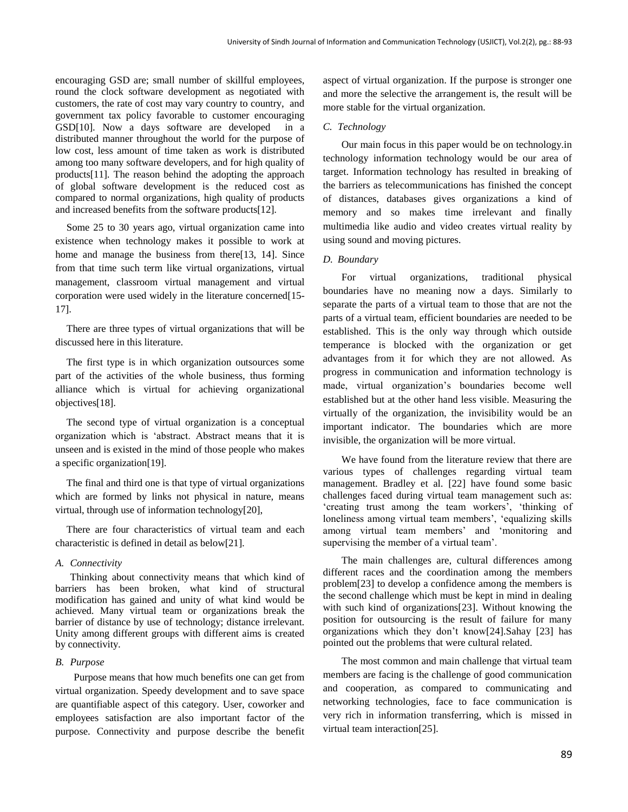encouraging GSD are; small number of skillful employees, round the clock software development as negotiated with customers, the rate of cost may vary country to country, and government tax policy favorable to customer encouraging GSD[\[10\]](#page-5-9). Now a days software are developed in a distributed manner throughout the world for the purpose of low cost, less amount of time taken as work is distributed among too many software developers, and for high quality of products[\[11\]](#page-5-10). The reason behind the adopting the approach of global software development is the reduced cost as compared to normal organizations, high quality of products and increased benefits from the software products[\[12\]](#page-5-11).

Some 25 to 30 years ago, virtual organization came into existence when technology makes it possible to work at home and manage the business from there[\[13,](#page-5-12) [14\]](#page-5-13). Since from that time such term like virtual organizations, virtual management, classroom virtual management and virtual corporation were used widely in the literature concerned[\[15-](#page-5-14) [17\]](#page-5-14).

There are three types of virtual organizations that will be discussed here in this literature.

The first type is in which organization outsources some part of the activities of the whole business, thus forming alliance which is virtual for achieving organizational objectives[\[18\]](#page-5-15).

The second type of virtual organization is a conceptual organization which is 'abstract. Abstract means that it is unseen and is existed in the mind of those people who makes a specific organization[\[19\]](#page-5-16).

The final and third one is that type of virtual organizations which are formed by links not physical in nature, means virtual, through use of information technology[\[20\]](#page-5-17),

There are four characteristics of virtual team and each characteristic is defined in detail as below[\[21\]](#page-5-18).

#### *A. Connectivity*

Thinking about connectivity means that which kind of barriers has been broken, what kind of structural modification has gained and unity of what kind would be achieved. Many virtual team or organizations break the barrier of distance by use of technology; distance irrelevant. Unity among different groups with different aims is created by connectivity.

#### *B. Purpose*

Purpose means that how much benefits one can get from virtual organization. Speedy development and to save space are quantifiable aspect of this category. User, coworker and employees satisfaction are also important factor of the purpose. Connectivity and purpose describe the benefit aspect of virtual organization. If the purpose is stronger one and more the selective the arrangement is, the result will be more stable for the virtual organization.

#### *C. Technology*

Our main focus in this paper would be on technology.in technology information technology would be our area of target. Information technology has resulted in breaking of the barriers as telecommunications has finished the concept of distances, databases gives organizations a kind of memory and so makes time irrelevant and finally multimedia like audio and video creates virtual reality by using sound and moving pictures.

### *D. Boundary*

For virtual organizations, traditional physical boundaries have no meaning now a days. Similarly to separate the parts of a virtual team to those that are not the parts of a virtual team, efficient boundaries are needed to be established. This is the only way through which outside temperance is blocked with the organization or get advantages from it for which they are not allowed. As progress in communication and information technology is made, virtual organization's boundaries become well established but at the other hand less visible. Measuring the virtually of the organization, the invisibility would be an important indicator. The boundaries which are more invisible, the organization will be more virtual.

We have found from the literature review that there are various types of challenges regarding virtual team management. Bradley et al. [\[22\]](#page-5-19) have found some basic challenges faced during virtual team management such as: 'creating trust among the team workers', 'thinking of loneliness among virtual team members', 'equalizing skills among virtual team members' and 'monitoring and supervising the member of a virtual team'.

The main challenges are, cultural differences among different races and the coordination among the members problem[\[23\]](#page-5-20) to develop a confidence among the members is the second challenge which must be kept in mind in dealing with such kind of organizations[\[23\]](#page-5-20). Without knowing the position for outsourcing is the result of failure for many organizations which they don't know[\[24\]](#page-5-21).Sahay [\[23\]](#page-5-20) has pointed out the problems that were cultural related.

The most common and main challenge that virtual team members are facing is the challenge of good communication and cooperation, as compared to communicating and networking technologies, face to face communication is very rich in information transferring, which is missed in virtual team interaction[\[25\]](#page-5-22).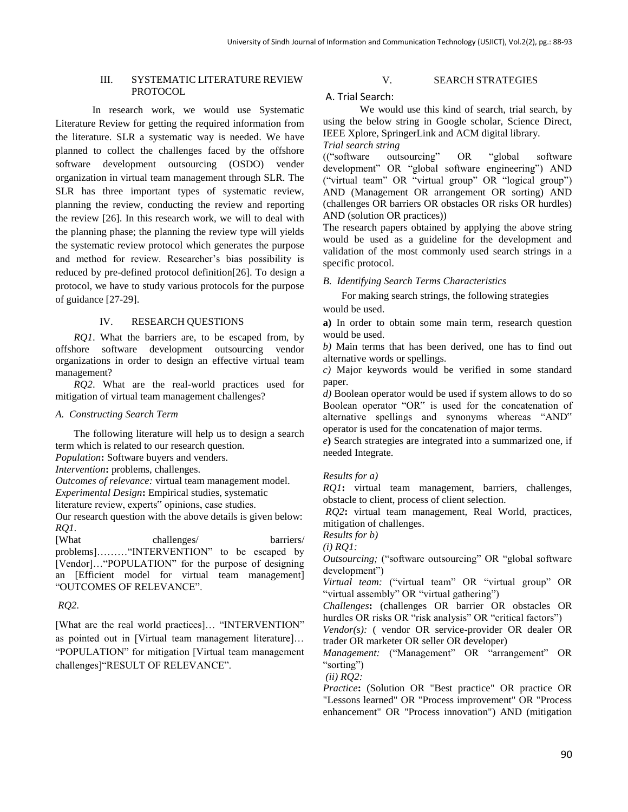# III. SYSTEMATIC LITERATURE REVIEW PROTOCOL

In research work, we would use Systematic Literature Review for getting the required information from the literature. SLR a systematic way is needed. We have planned to collect the challenges faced by the offshore software development outsourcing (OSDO) vender organization in virtual team management through SLR. The SLR has three important types of systematic review, planning the review, conducting the review and reporting the review [\[26\]](#page-5-23). In this research work, we will to deal with the planning phase; the planning the review type will yields the systematic review protocol which generates the purpose and method for review. Researcher's bias possibility is reduced by pre-defined protocol definition[\[26\]](#page-5-23). To design a protocol, we have to study various protocols for the purpose of guidance [\[27-29\]](#page-5-24).

## IV. RESEARCH QUESTIONS

*RQ1*. What the barriers are, to be escaped from, by offshore software development outsourcing vendor organizations in order to design an effective virtual team management?

*RQ2*. What are the real-world practices used for mitigation of virtual team management challenges?

## *A. Constructing Search Term*

The following literature will help us to design a search term which is related to our research question.

*Population***:** Software buyers and venders.

*Intervention***:** problems, challenges.

*Outcomes of relevance:* virtual team management model.

*Experimental Design***:** Empirical studies, systematic

literature review, experts" opinions, case studies.

Our research question with the above details is given below: *RQ1.* 

[What challenges/ barriers/ problems]………"INTERVENTION" to be escaped by [Vendor]…"POPULATION" for the purpose of designing an [Efficient model for virtual team management] "OUTCOMES OF RELEVANCE".

# *RQ2.*

[What are the real world practices]… "INTERVENTION" as pointed out in [Virtual team management literature]… "POPULATION" for mitigation [Virtual team management challenges]"RESULT OF RELEVANCE".

# V. SEARCH STRATEGIES

# A. Trial Search:

We would use this kind of search, trial search, by using the below string in Google scholar, Science Direct, IEEE Xplore, SpringerLink and ACM digital library.

*Trial search string* 

(("software outsourcing" OR "global software development" OR "global software engineering") AND ("virtual team" OR "virtual group" OR "logical group") AND (Management OR arrangement OR sorting) AND (challenges OR barriers OR obstacles OR risks OR hurdles) AND (solution OR practices))

The research papers obtained by applying the above string would be used as a guideline for the development and validation of the most commonly used search strings in a specific protocol.

## *B. Identifying Search Terms Characteristics*

For making search strings, the following strategies would be used.

**a)** In order to obtain some main term, research question would be used.

*b)* Main terms that has been derived, one has to find out alternative words or spellings.

*c)* Major keywords would be verified in some standard paper.

*d)* Boolean operator would be used if system allows to do so Boolean operator "OR" is used for the concatenation of alternative spellings and synonyms whereas "AND" operator is used for the concatenation of major terms.

*e***)** Search strategies are integrated into a summarized one, if needed Integrate.

# *Results for a)*

*RQ1***:** virtual team management, barriers, challenges, obstacle to client, process of client selection.

*RQ2***:** virtual team management, Real World, practices, mitigation of challenges.

*Results for b)*

*(i) RQ1:*

*Outsourcing;* ("software outsourcing" OR "global software development")

*Virtual team:* ("virtual team" OR "virtual group" OR "virtual assembly" OR "virtual gathering")

*Challenges***:** (challenges OR barrier OR obstacles OR hurdles OR risks OR "risk analysis" OR "critical factors")

*Vendor(s):* ( vendor OR service-provider OR dealer OR trader OR marketer OR seller OR developer)

*Management:* ("Management" OR "arrangement" OR "sorting")

*(ii) RQ2:* 

*Practice***:** (Solution OR "Best practice" OR practice OR "Lessons learned" OR "Process improvement" OR "Process enhancement" OR "Process innovation") AND (mitigation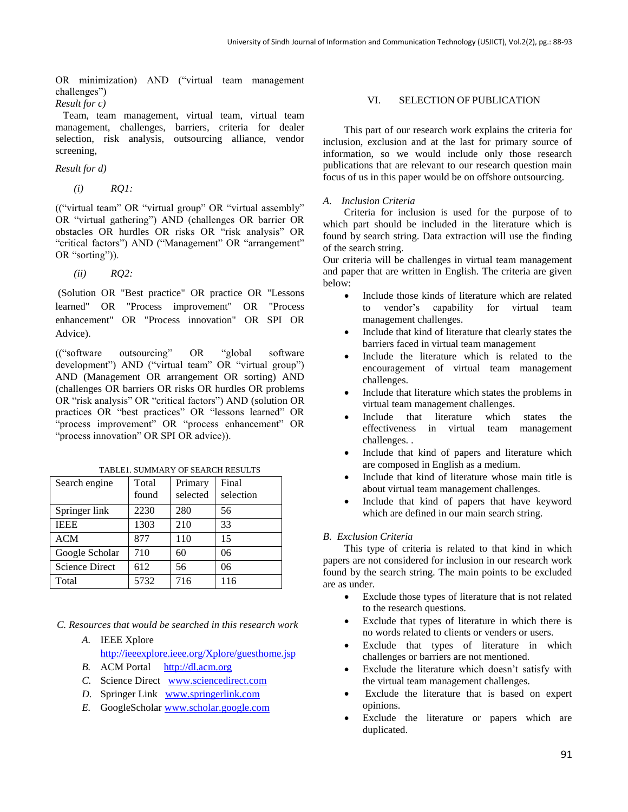OR minimization) AND ("virtual team management challenges")

*Result for c)* 

 Team, team management, virtual team, virtual team management, challenges, barriers, criteria for dealer selection, risk analysis, outsourcing alliance, vendor screening,

## *Result for d)*

*(i) RQ1:* 

(("virtual team" OR "virtual group" OR "virtual assembly" OR "virtual gathering") AND (challenges OR barrier OR obstacles OR hurdles OR risks OR "risk analysis" OR "critical factors") AND ("Management" OR "arrangement" OR "sorting")).

*(ii) RQ2:* 

(Solution OR "Best practice" OR practice OR "Lessons learned" OR "Process improvement" OR "Process enhancement" OR "Process innovation" OR SPI OR Advice).

(("software outsourcing" OR "global software development") AND ("virtual team" OR "virtual group") AND (Management OR arrangement OR sorting) AND (challenges OR barriers OR risks OR hurdles OR problems OR "risk analysis" OR "critical factors") AND (solution OR practices OR "best practices" OR "lessons learned" OR "process improvement" OR "process enhancement" OR "process innovation" OR SPI OR advice)).

| Search engine         | Total<br>found | Primary<br>selected | Final<br>selection |
|-----------------------|----------------|---------------------|--------------------|
| Springer link         | 2230           | 280                 | 56                 |
| <b>IEEE</b>           | 1303           | 210                 | 33                 |
| ACM                   | 877            | 110                 | 15                 |
| Google Scholar        | 710            | 60                  | 06                 |
| <b>Science Direct</b> | 612            | 56                  | 06                 |
| Total                 | 5732           | 716                 | 116                |

TABLE1. SUMMARY OF SEARCH RESULTS

*C. Resources that would be searched in this research work*

*A.* IEEE Xplore

<http://ieeexplore.ieee.org/Xplore/guesthome.jsp>

- *B.* ACM Portal [http://dl.acm.org](http://dl.acm.org/)
- *C.* Science Direct [www.sciencedirect.com](http://www.sciencedirect.com/)
- *D.* Springer Link [www.springerlink.com](http://www.springerlink.com/)
- *E.* GoogleScholar [www.scholar.google.com](http://www.scholar.google.com/)

# VI. SELECTION OF PUBLICATION

This part of our research work explains the criteria for inclusion, exclusion and at the last for primary source of information, so we would include only those research publications that are relevant to our research question main focus of us in this paper would be on offshore outsourcing.

## *A. Inclusion Criteria*

Criteria for inclusion is used for the purpose of to which part should be included in the literature which is found by search string. Data extraction will use the finding of the search string.

Our criteria will be challenges in virtual team management and paper that are written in English. The criteria are given below:

- Include those kinds of literature which are related to vendor's capability for virtual team management challenges.
- Include that kind of literature that clearly states the barriers faced in virtual team management
- Include the literature which is related to the encouragement of virtual team management challenges.
- Include that literature which states the problems in virtual team management challenges.
- Include that literature which states the effectiveness in virtual team management challenges. .
- Include that kind of papers and literature which are composed in English as a medium.
- Include that kind of literature whose main title is about virtual team management challenges.
- Include that kind of papers that have keyword which are defined in our main search string.

## *B. Exclusion Criteria*

This type of criteria is related to that kind in which papers are not considered for inclusion in our research work found by the search string. The main points to be excluded are as under.

- Exclude those types of literature that is not related to the research questions.
- Exclude that types of literature in which there is no words related to clients or venders or users.
- Exclude that types of literature in which challenges or barriers are not mentioned.
- Exclude the literature which doesn't satisfy with the virtual team management challenges.
- Exclude the literature that is based on expert opinions.
- Exclude the literature or papers which are duplicated.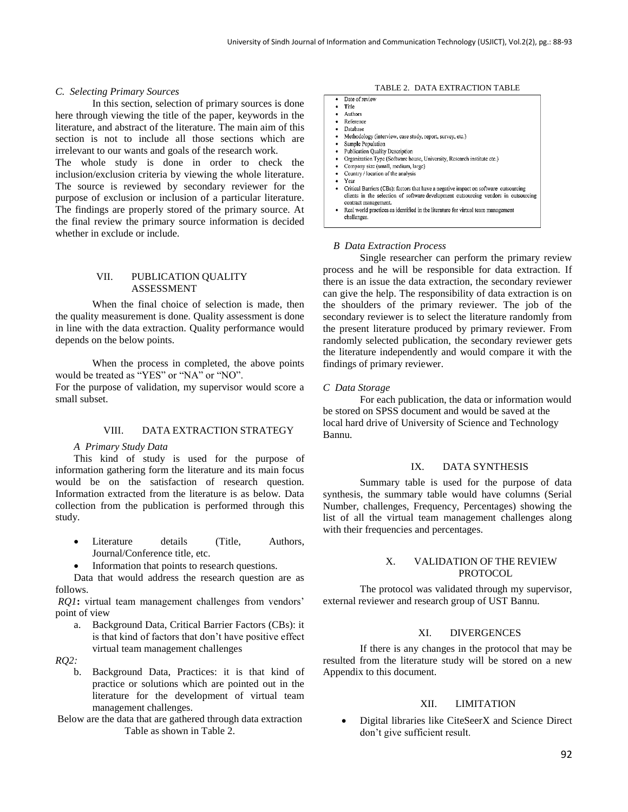#### *C. Selecting Primary Sources*

In this section, selection of primary sources is done here through viewing the title of the paper, keywords in the literature, and abstract of the literature. The main aim of this section is not to include all those sections which are irrelevant to our wants and goals of the research work.

The whole study is done in order to check the inclusion/exclusion criteria by viewing the whole literature. The source is reviewed by secondary reviewer for the purpose of exclusion or inclusion of a particular literature. The findings are properly stored of the primary source. At the final review the primary source information is decided whether in exclude or include.

## VII. PUBLICATION QUALITY ASSESSMENT

When the final choice of selection is made, then the quality measurement is done. Quality assessment is done in line with the data extraction. Quality performance would depends on the below points.

When the process in completed, the above points would be treated as "YES" or "NA" or "NO".

For the purpose of validation, my supervisor would score a small subset.

# VIII. DATA EXTRACTION STRATEGY

#### *A Primary Study Data*

This kind of study is used for the purpose of information gathering form the literature and its main focus would be on the satisfaction of research question. Information extracted from the literature is as below. Data collection from the publication is performed through this study.

- Literature details (Title, Authors, Journal/Conference title, etc.
- Information that points to research questions.

Data that would address the research question are as follows.

*RQ1***:** virtual team management challenges from vendors' point of view

a. Background Data, Critical Barrier Factors (CBs): it is that kind of factors that don't have positive effect virtual team management challenges

*RQ2:* 

- b. Background Data, Practices: it is that kind of practice or solutions which are pointed out in the literature for the development of virtual team management challenges.
- Below are the data that are gathered through data extraction Table as shown in Table 2.

#### TABLE 2. DATA EXTRACTION TABLE

|   | Date of review                                                                       |
|---|--------------------------------------------------------------------------------------|
|   | Title                                                                                |
|   | Authors                                                                              |
|   | Reference                                                                            |
|   | Database                                                                             |
| ٠ | Methodology (interview, case study, report, survey, etc.)                            |
|   | Sample Population                                                                    |
| ٠ | <b>Publication Quality Description</b>                                               |
|   | Organization Type (Software house, University, Research institute etc.)              |
|   | Company size (small, medium, large)                                                  |
|   | Country / location of the analysis                                                   |
|   | Year                                                                                 |
|   | Critical Barriers (CBs): factors that have a negative impact on software outsourcing |
|   | clients in the selection of software development outsourcing vendors in outsourcing  |
|   | contract management.                                                                 |
|   | Real world practices as identified in the literature for virtual team management     |
|   | challenges.                                                                          |

## *B Data Extraction Process*

Single researcher can perform the primary review process and he will be responsible for data extraction. If there is an issue the data extraction, the secondary reviewer can give the help. The responsibility of data extraction is on the shoulders of the primary reviewer. The job of the secondary reviewer is to select the literature randomly from the present literature produced by primary reviewer. From randomly selected publication, the secondary reviewer gets the literature independently and would compare it with the findings of primary reviewer.

### *C Data Storage*

For each publication, the data or information would be stored on SPSS document and would be saved at the local hard drive of University of Science and Technology Bannu.

#### IX. DATA SYNTHESIS

Summary table is used for the purpose of data synthesis, the summary table would have columns (Serial Number, challenges, Frequency, Percentages) showing the list of all the virtual team management challenges along with their frequencies and percentages.

## X. VALIDATION OF THE REVIEW PROTOCOL

The protocol was validated through my supervisor, external reviewer and research group of UST Bannu.

## XI. DIVERGENCES

If there is any changes in the protocol that may be resulted from the literature study will be stored on a new Appendix to this document.

# XII. LIMITATION

• Digital libraries like CiteSeerX and Science Direct don't give sufficient result.